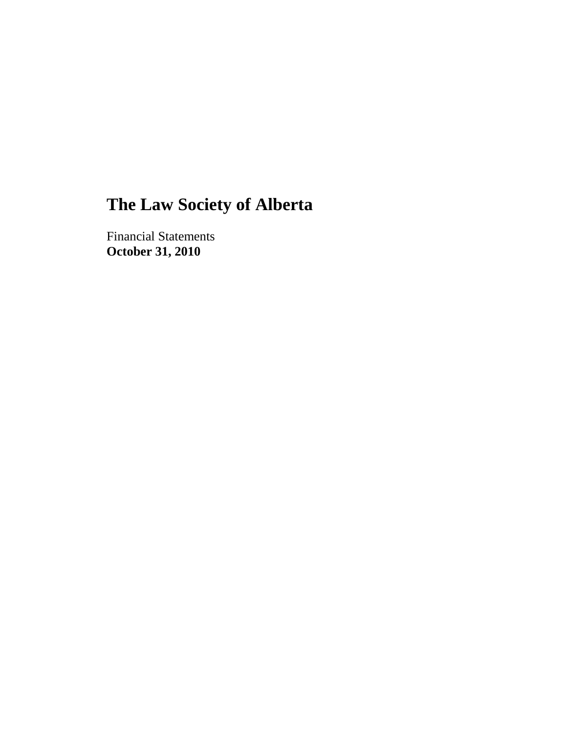Financial Statements **October 31, 2010**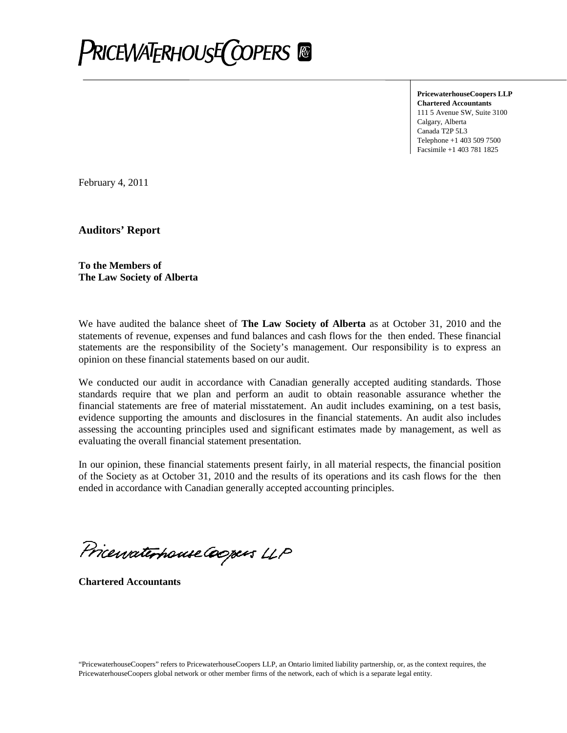

**PricewaterhouseCoopers LLP Chartered Accountants** 111 5 Avenue SW, Suite 3100 Calgary, Alberta Canada T2P 5L3 Telephone +1 403 509 7500 Facsimile +1 403 781 1825

February 4, 2011

**Auditors' Report**

**To the Members of The Law Society of Alberta**

We have audited the balance sheet of **The Law Society of Alberta** as at October 31, 2010 and the statements of revenue, expenses and fund balances and cash flows for the then ended. These financial statements are the responsibility of the Society's management. Our responsibility is to express an opinion on these financial statements based on our audit.

We conducted our audit in accordance with Canadian generally accepted auditing standards. Those standards require that we plan and perform an audit to obtain reasonable assurance whether the financial statements are free of material misstatement. An audit includes examining, on a test basis, evidence supporting the amounts and disclosures in the financial statements. An audit also includes assessing the accounting principles used and significant estimates made by management, as well as evaluating the overall financial statement presentation.

In our opinion, these financial statements present fairly, in all material respects, the financial position of the Society as at October 31, 2010 and the results of its operations and its cash flows for the then ended in accordance with Canadian generally accepted accounting principles.

Pricewaterhouse Coopers LLP

**Chartered Accountants**

"PricewaterhouseCoopers" refers to PricewaterhouseCoopers LLP, an Ontario limited liability partnership, or, as the context requires, the PricewaterhouseCoopers global network or other member firms of the network, each of which is a separate legal entity.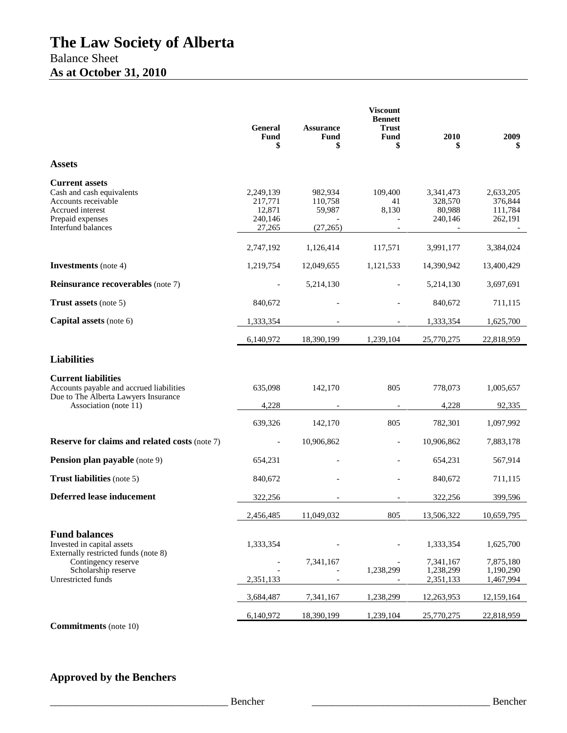|                                                                                                                                         | <b>General</b><br>Fund<br>\$                        | <b>Assurance</b><br>Fund<br>\$            | <b>Viscount</b><br><b>Bennett</b><br><b>Trust</b><br>Fund<br>\$ | 2010                                      | 2009<br>S                                  |
|-----------------------------------------------------------------------------------------------------------------------------------------|-----------------------------------------------------|-------------------------------------------|-----------------------------------------------------------------|-------------------------------------------|--------------------------------------------|
| <b>Assets</b>                                                                                                                           |                                                     |                                           |                                                                 |                                           |                                            |
| <b>Current assets</b><br>Cash and cash equivalents<br>Accounts receivable<br>Accrued interest<br>Prepaid expenses<br>Interfund balances | 2,249,139<br>217,771<br>12,871<br>240,146<br>27,265 | 982,934<br>110,758<br>59,987<br>(27, 265) | 109,400<br>41<br>8,130                                          | 3,341,473<br>328,570<br>80,988<br>240,146 | 2,633,205<br>376,844<br>111,784<br>262,191 |
|                                                                                                                                         | 2,747,192                                           | 1,126,414                                 | 117,571                                                         | 3,991,177                                 | 3,384,024                                  |
| <b>Investments</b> (note 4)                                                                                                             | 1,219,754                                           | 12,049,655                                | 1,121,533                                                       | 14,390,942                                | 13,400,429                                 |
| <b>Reinsurance recoverables</b> (note 7)                                                                                                |                                                     | 5,214,130                                 |                                                                 | 5,214,130                                 | 3,697,691                                  |
| <b>Trust assets</b> (note 5)                                                                                                            | 840,672                                             |                                           |                                                                 | 840,672                                   | 711,115                                    |
| Capital assets (note 6)                                                                                                                 | 1,333,354                                           |                                           |                                                                 | 1,333,354                                 | 1,625,700                                  |
|                                                                                                                                         | 6,140,972                                           | 18,390,199                                | 1,239,104                                                       | 25,770,275                                | 22,818,959                                 |
| <b>Liabilities</b>                                                                                                                      |                                                     |                                           |                                                                 |                                           |                                            |
| <b>Current liabilities</b><br>Accounts payable and accrued liabilities<br>Due to The Alberta Lawyers Insurance<br>Association (note 11) | 635,098<br>4,228<br>639,326                         | 142,170<br>142,170                        | 805<br>805                                                      | 778,073<br>4,228<br>782,301               | 1,005,657<br>92,335<br>1,097,992           |
| <b>Reserve for claims and related costs (note 7)</b>                                                                                    |                                                     | 10,906,862                                | $\overline{\phantom{a}}$                                        | 10,906,862                                | 7,883,178                                  |
| <b>Pension plan payable</b> (note 9)                                                                                                    | 654,231                                             |                                           |                                                                 | 654,231                                   | 567,914                                    |
| <b>Trust liabilities</b> (note 5)                                                                                                       | 840,672                                             |                                           |                                                                 | 840,672                                   | 711,115                                    |
| <b>Deferred lease inducement</b>                                                                                                        | 322,256                                             |                                           |                                                                 | 322,256                                   | 399,596                                    |
|                                                                                                                                         | 2,456,485                                           | 11,049,032                                | 805                                                             | 13,506,322                                | 10,659,795                                 |
| <b>Fund balances</b><br>Invested in capital assets<br>Externally restricted funds (note 8)<br>Contingency reserve                       | 1,333,354                                           | 7,341,167                                 | 1,238,299                                                       | 1,333,354<br>7,341,167                    | 1,625,700<br>7,875,180                     |
| Scholarship reserve<br>Unrestricted funds                                                                                               | 2,351,133                                           |                                           |                                                                 | 1,238,299<br>2,351,133                    | 1,190,290<br>1,467,994                     |
|                                                                                                                                         | 3,684,487                                           | 7,341,167                                 | 1,238,299                                                       | 12,263,953                                | 12,159,164                                 |
|                                                                                                                                         | 6,140,972                                           | 18,390,199                                | 1,239,104                                                       | 25,770,275                                | 22,818,959                                 |

**Commitments** (note 10)

## **Approved by the Benchers**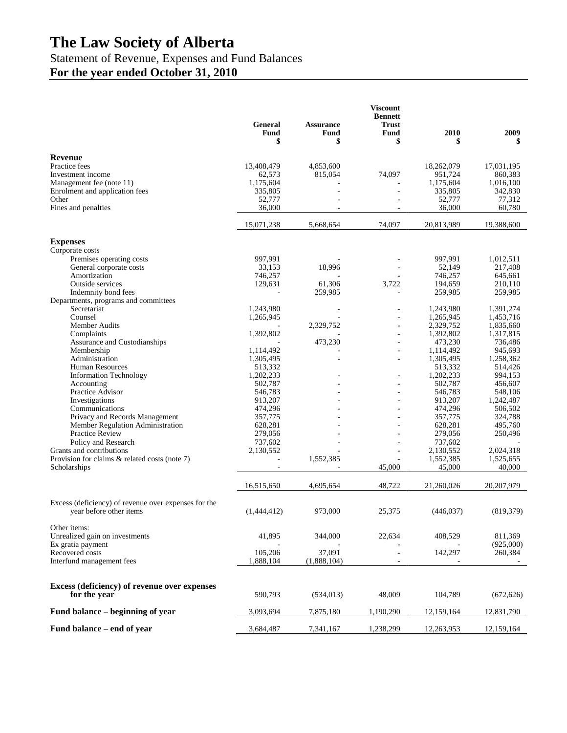## Statement of Revenue, Expenses and Fund Balances **For the year ended October 31, 2010**

|                                                                                 | <b>General</b><br>Fund<br>\$ | <b>Assurance</b><br>Fund<br>\$ | <b>Viscount</b><br><b>Bennett</b><br><b>Trust</b><br>Fund<br>\$ | 2010<br>\$         | 2009<br>\$         |
|---------------------------------------------------------------------------------|------------------------------|--------------------------------|-----------------------------------------------------------------|--------------------|--------------------|
| <b>Revenue</b>                                                                  |                              |                                |                                                                 |                    |                    |
| Practice fees                                                                   | 13,408,479                   | 4,853,600                      |                                                                 | 18,262,079         | 17,031,195         |
| Investment income                                                               | 62,573                       | 815,054                        | 74,097                                                          | 951,724            | 860,383            |
| Management fee (note 11)                                                        | 1,175,604                    |                                |                                                                 | 1,175,604          | 1,016,100          |
| Enrolment and application fees                                                  | 335,805                      |                                |                                                                 | 335,805            | 342,830            |
| Other                                                                           | 52,777                       |                                |                                                                 | 52,777             | 77,312             |
| Fines and penalties                                                             | 36,000                       |                                |                                                                 | 36,000             | 60,780             |
|                                                                                 | 15,071,238                   | 5,668,654                      | 74,097                                                          | 20,813,989         | 19,388,600         |
| <b>Expenses</b>                                                                 |                              |                                |                                                                 |                    |                    |
| Corporate costs                                                                 |                              |                                |                                                                 |                    |                    |
| Premises operating costs                                                        | 997,991                      |                                |                                                                 | 997,991            | 1,012,511          |
| General corporate costs                                                         | 33,153                       | 18,996                         |                                                                 | 52,149             | 217,408            |
| Amortization                                                                    | 746,257                      |                                |                                                                 | 746,257            | 645,661            |
| Outside services                                                                | 129,631                      | 61,306                         | 3,722                                                           | 194,659            | 210,110            |
| Indemnity bond fees                                                             |                              | 259,985                        |                                                                 | 259,985            | 259,985            |
| Departments, programs and committees<br>Secretariat                             | 1,243,980                    |                                |                                                                 | 1,243,980          | 1,391,274          |
| Counsel                                                                         | 1,265,945                    |                                | ä,                                                              | 1,265,945          | 1,453,716          |
| Member Audits                                                                   |                              | 2,329,752                      |                                                                 | 2,329,752          | 1,835,660          |
| Complaints                                                                      | 1,392,802                    |                                | $\overline{a}$                                                  | 1,392,802          | 1,317,815          |
| Assurance and Custodianships                                                    |                              | 473,230                        |                                                                 | 473,230            | 736,486            |
| Membership                                                                      | 1,114,492                    |                                | ä,                                                              | 1,114,492          | 945,693            |
| Administration                                                                  | 1,305,495                    |                                | ä,                                                              | 1,305,495          | 1,258,362          |
| <b>Human Resources</b>                                                          | 513,332                      |                                |                                                                 | 513,332            | 514,426            |
| <b>Information Technology</b>                                                   | 1,202,233                    |                                |                                                                 | 1,202,233          | 994,153            |
| Accounting                                                                      | 502,787                      |                                | ä,                                                              | 502,787            | 456,607            |
| Practice Advisor                                                                | 546,783                      |                                |                                                                 | 546,783            | 548,106            |
| Investigations                                                                  | 913,207                      |                                | ä,                                                              | 913,207            | 1,242,487          |
| Communications                                                                  | 474,296<br>357,775           |                                |                                                                 | 474,296<br>357,775 | 506,502            |
| Privacy and Records Management<br>Member Regulation Administration              | 628,281                      |                                |                                                                 | 628,281            | 324,788<br>495,760 |
| Practice Review                                                                 | 279,056                      |                                | ÷                                                               | 279,056            | 250,496            |
| Policy and Research                                                             | 737,602                      |                                |                                                                 | 737,602            |                    |
| Grants and contributions                                                        | 2,130,552                    |                                | ÷,                                                              | 2,130,552          | 2,024,318          |
| Provision for claims & related costs (note 7)                                   |                              | 1,552,385                      |                                                                 | 1,552,385          | 1,525,655          |
| Scholarships                                                                    |                              |                                | 45,000                                                          | 45,000             | 40,000             |
|                                                                                 | 16,515,650                   | 4,695,654                      | 48,722                                                          | 21,260,026         | 20,207,979         |
|                                                                                 |                              |                                |                                                                 |                    |                    |
| Excess (deficiency) of revenue over expenses for the<br>year before other items | (1,444,412)                  | 973,000                        | 25,375                                                          | (446, 037)         | (819, 379)         |
| Other items:                                                                    |                              |                                |                                                                 |                    |                    |
| Unrealized gain on investments                                                  | 41,895                       | 344,000                        | 22,634                                                          | 408,529            | 811,369            |
| Ex gratia payment                                                               |                              |                                |                                                                 |                    | (925,000)          |
| Recovered costs                                                                 | 105,206                      | 37,091                         | $\overline{\phantom{a}}$                                        | 142,297            | 260,384            |
| Interfund management fees                                                       | 1,888,104                    | (1,888,104)                    |                                                                 |                    |                    |
|                                                                                 |                              |                                |                                                                 |                    |                    |
| Excess (deficiency) of revenue over expenses<br>for the year                    | 590,793                      | (534, 013)                     | 48,009                                                          | 104,789            | (672, 626)         |
|                                                                                 |                              |                                |                                                                 |                    |                    |
| Fund balance – beginning of year                                                | 3,093,694                    | 7,875,180                      | 1,190,290                                                       | 12,159,164         | 12,831,790         |
| Fund balance - end of year                                                      | 3,684,487                    | 7,341,167                      | 1,238,299                                                       | 12,263,953         | 12,159,164         |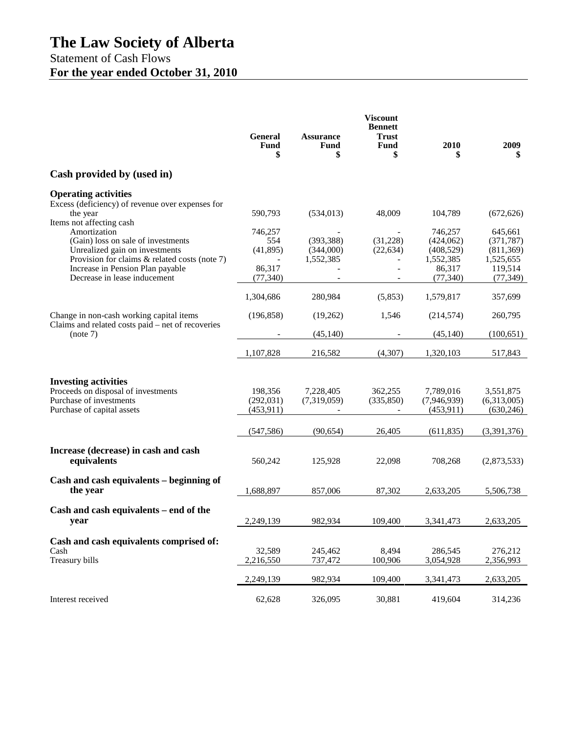## Statement of Cash Flows **For the year ended October 31, 2010**

|                                                                                                                                                                                                                                       | <b>General</b><br><b>Fund</b><br>\$               | <b>Assurance</b><br><b>Fund</b><br>\$ | <b>Viscount</b><br><b>Bennett</b><br><b>Trust</b><br><b>Fund</b><br>\$ | 2010                                                                   | 2009<br>\$                                                               |
|---------------------------------------------------------------------------------------------------------------------------------------------------------------------------------------------------------------------------------------|---------------------------------------------------|---------------------------------------|------------------------------------------------------------------------|------------------------------------------------------------------------|--------------------------------------------------------------------------|
| Cash provided by (used in)                                                                                                                                                                                                            |                                                   |                                       |                                                                        |                                                                        |                                                                          |
| <b>Operating activities</b><br>Excess (deficiency) of revenue over expenses for<br>the year                                                                                                                                           | 590,793                                           | (534, 013)                            | 48,009                                                                 | 104,789                                                                | (672, 626)                                                               |
| Items not affecting cash<br>Amortization<br>(Gain) loss on sale of investments<br>Unrealized gain on investments<br>Provision for claims & related costs (note 7)<br>Increase in Pension Plan payable<br>Decrease in lease inducement | 746,257<br>554<br>(41,895)<br>86,317<br>(77, 340) | (393, 388)<br>(344,000)<br>1,552,385  | (31,228)<br>(22, 634)<br>$\blacksquare$                                | 746,257<br>(424,062)<br>(408, 529)<br>1,552,385<br>86,317<br>(77, 340) | 645,661<br>(371, 787)<br>(811, 369)<br>1,525,655<br>119,514<br>(77, 349) |
|                                                                                                                                                                                                                                       | 1,304,686                                         | 280,984                               | (5,853)                                                                | 1,579,817                                                              | 357,699                                                                  |
| Change in non-cash working capital items<br>Claims and related costs paid – net of recoveries<br>(note 7)                                                                                                                             | (196, 858)                                        | (19,262)<br>(45, 140)                 | 1,546                                                                  | (214, 574)<br>(45, 140)                                                | 260,795<br>(100, 651)                                                    |
|                                                                                                                                                                                                                                       | 1,107,828                                         | 216,582                               | (4,307)                                                                | 1,320,103                                                              | 517,843                                                                  |
| <b>Investing activities</b><br>Proceeds on disposal of investments<br>Purchase of investments<br>Purchase of capital assets                                                                                                           | 198,356<br>(292, 031)<br>(453, 911)               | 7,228,405<br>(7,319,059)              | 362,255<br>(335, 850)                                                  | 7,789,016<br>(7,946,939)<br>(453, 911)                                 | 3,551,875<br>(6,313,005)<br>(630, 246)                                   |
|                                                                                                                                                                                                                                       | (547, 586)                                        | (90, 654)                             | 26,405                                                                 | (611, 835)                                                             | (3,391,376)                                                              |
| Increase (decrease) in cash and cash<br>equivalents                                                                                                                                                                                   | 560,242                                           | 125,928                               | 22,098                                                                 | 708,268                                                                | (2,873,533)                                                              |
| Cash and cash equivalents - beginning of<br>the year                                                                                                                                                                                  | 1,688,897                                         | 857,006                               | 87,302                                                                 | 2,633,205                                                              | 5,506,738                                                                |
| Cash and cash equivalents – end of the<br>year                                                                                                                                                                                        | 2,249,139                                         | 982,934                               | 109,400                                                                | 3,341,473                                                              | 2,633,205                                                                |
| Cash and cash equivalents comprised of:<br>Cash<br>Treasury bills                                                                                                                                                                     | 32,589<br>2,216,550                               | 245,462<br>737,472                    | 8,494<br>100,906                                                       | 286,545<br>3,054,928                                                   | 276,212<br>2,356,993                                                     |
|                                                                                                                                                                                                                                       | 2,249,139                                         | 982,934                               | 109,400                                                                | 3,341,473                                                              | 2,633,205                                                                |
| Interest received                                                                                                                                                                                                                     | 62,628                                            | 326,095                               | 30,881                                                                 | 419,604                                                                | 314,236                                                                  |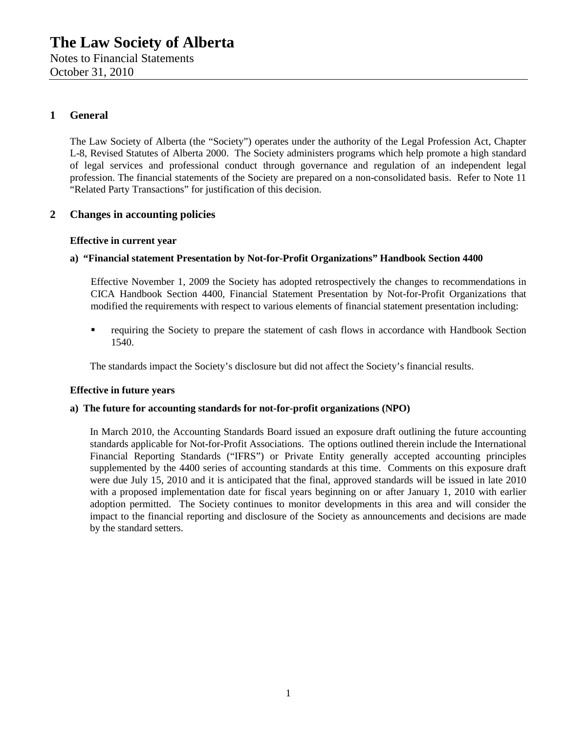Notes to Financial Statements October 31, 2010

### **1 General**

The Law Society of Alberta (the "Society") operates under the authority of the Legal Profession Act, Chapter L-8, Revised Statutes of Alberta 2000. The Society administers programs which help promote a high standard of legal services and professional conduct through governance and regulation of an independent legal profession. The financial statements of the Society are prepared on a non-consolidated basis. Refer to Note 11 "Related Party Transactions" for justification of this decision.

#### **2 Changes in accounting policies**

#### **Effective in current year**

#### **a) "Financial statement Presentation by Not-for-Profit Organizations" Handbook Section 4400**

Effective November 1, 2009 the Society has adopted retrospectively the changes to recommendations in CICA Handbook Section 4400, Financial Statement Presentation by Not-for-Profit Organizations that modified the requirements with respect to various elements of financial statement presentation including:

 requiring the Society to prepare the statement of cash flows in accordance with Handbook Section 1540.

The standards impact the Society's disclosure but did not affect the Society's financial results.

#### **Effective in future years**

#### **a) The future for accounting standards for not-for-profit organizations (NPO)**

In March 2010, the Accounting Standards Board issued an exposure draft outlining the future accounting standards applicable for Not-for-Profit Associations. The options outlined therein include the International Financial Reporting Standards ("IFRS") or Private Entity generally accepted accounting principles supplemented by the 4400 series of accounting standards at this time. Comments on this exposure draft were due July 15, 2010 and it is anticipated that the final, approved standards will be issued in late 2010 with a proposed implementation date for fiscal years beginning on or after January 1, 2010 with earlier adoption permitted. The Society continues to monitor developments in this area and will consider the impact to the financial reporting and disclosure of the Society as announcements and decisions are made by the standard setters.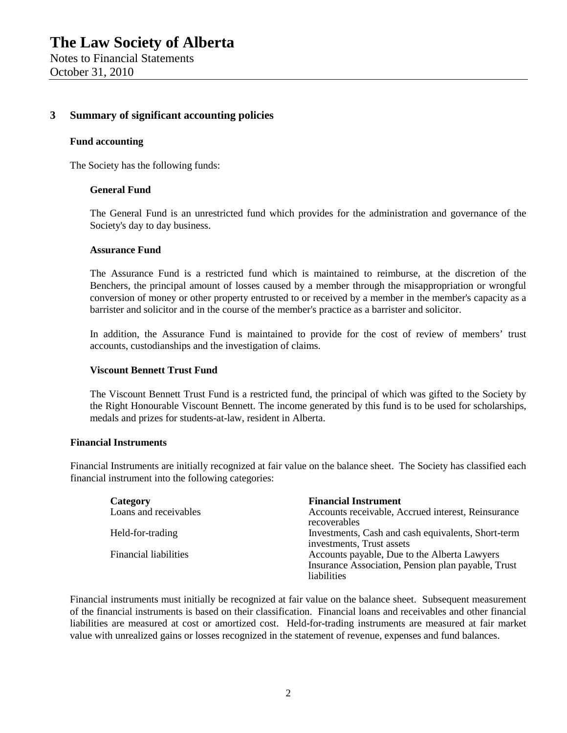#### **3 Summary of significant accounting policies**

#### **Fund accounting**

The Society has the following funds:

#### **General Fund**

The General Fund is an unrestricted fund which provides for the administration and governance of the Society's day to day business.

#### **Assurance Fund**

The Assurance Fund is a restricted fund which is maintained to reimburse, at the discretion of the Benchers, the principal amount of losses caused by a member through the misappropriation or wrongful conversion of money or other property entrusted to or received by a member in the member's capacity as a barrister and solicitor and in the course of the member's practice as a barrister and solicitor.

In addition, the Assurance Fund is maintained to provide for the cost of review of members' trust accounts, custodianships and the investigation of claims.

#### **Viscount Bennett Trust Fund**

The Viscount Bennett Trust Fund is a restricted fund, the principal of which was gifted to the Society by the Right Honourable Viscount Bennett. The income generated by this fund is to be used for scholarships, medals and prizes for students-at-law, resident in Alberta.

#### **Financial Instruments**

Financial Instruments are initially recognized at fair value on the balance sheet. The Society has classified each financial instrument into the following categories:

| Category                     | <b>Financial Instrument</b>                                                                                       |
|------------------------------|-------------------------------------------------------------------------------------------------------------------|
| Loans and receivables        | Accounts receivable, Accrued interest, Reinsurance<br>recoverables                                                |
| Held-for-trading             | Investments, Cash and cash equivalents, Short-term<br>investments, Trust assets                                   |
| <b>Financial liabilities</b> | Accounts payable, Due to the Alberta Lawyers<br>Insurance Association, Pension plan payable, Trust<br>liabilities |

Financial instruments must initially be recognized at fair value on the balance sheet. Subsequent measurement of the financial instruments is based on their classification. Financial loans and receivables and other financial liabilities are measured at cost or amortized cost. Held-for-trading instruments are measured at fair market value with unrealized gains or losses recognized in the statement of revenue, expenses and fund balances.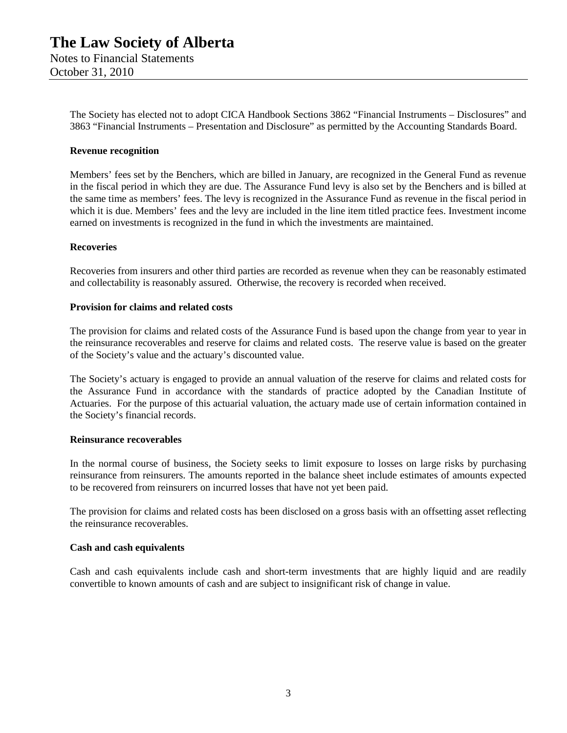The Society has elected not to adopt CICA Handbook Sections 3862 "Financial Instruments – Disclosures" and 3863 "Financial Instruments – Presentation and Disclosure" as permitted by the Accounting Standards Board.

#### **Revenue recognition**

Members' fees set by the Benchers, which are billed in January, are recognized in the General Fund as revenue in the fiscal period in which they are due. The Assurance Fund levy is also set by the Benchers and is billed at the same time as members' fees. The levy is recognized in the Assurance Fund as revenue in the fiscal period in which it is due. Members' fees and the levy are included in the line item titled practice fees. Investment income earned on investments is recognized in the fund in which the investments are maintained.

#### **Recoveries**

Recoveries from insurers and other third parties are recorded as revenue when they can be reasonably estimated and collectability is reasonably assured. Otherwise, the recovery is recorded when received.

#### **Provision for claims and related costs**

The provision for claims and related costs of the Assurance Fund is based upon the change from year to year in the reinsurance recoverables and reserve for claims and related costs. The reserve value is based on the greater of the Society's value and the actuary's discounted value.

The Society's actuary is engaged to provide an annual valuation of the reserve for claims and related costs for the Assurance Fund in accordance with the standards of practice adopted by the Canadian Institute of Actuaries. For the purpose of this actuarial valuation, the actuary made use of certain information contained in the Society's financial records.

#### **Reinsurance recoverables**

In the normal course of business, the Society seeks to limit exposure to losses on large risks by purchasing reinsurance from reinsurers. The amounts reported in the balance sheet include estimates of amounts expected to be recovered from reinsurers on incurred losses that have not yet been paid.

The provision for claims and related costs has been disclosed on a gross basis with an offsetting asset reflecting the reinsurance recoverables.

#### **Cash and cash equivalents**

Cash and cash equivalents include cash and short-term investments that are highly liquid and are readily convertible to known amounts of cash and are subject to insignificant risk of change in value.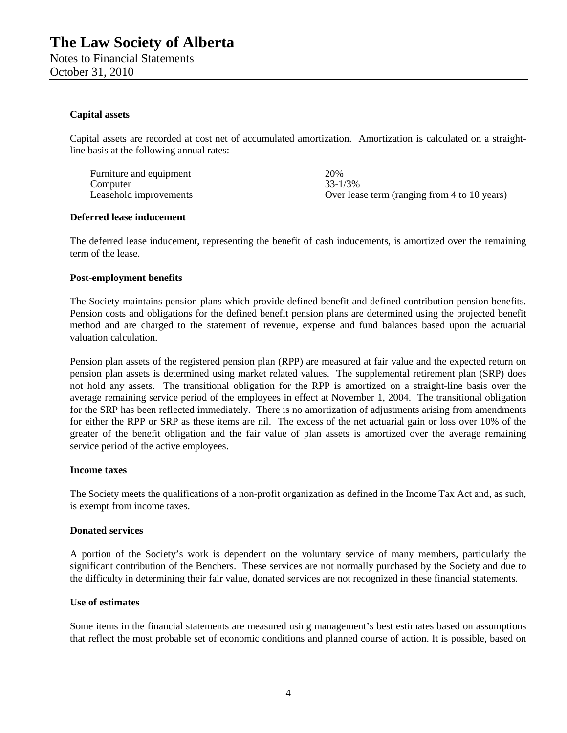October 31, 2010

#### **Capital assets**

Capital assets are recorded at cost net of accumulated amortization. Amortization is calculated on a straightline basis at the following annual rates:

Furniture and equipment 20%<br>
Computer 233-1/3% Computer<br>Leasehold improvements Over lease term (ranging from 4 to 10 years)

#### **Deferred lease inducement**

The deferred lease inducement, representing the benefit of cash inducements, is amortized over the remaining term of the lease.

#### **Post-employment benefits**

The Society maintains pension plans which provide defined benefit and defined contribution pension benefits. Pension costs and obligations for the defined benefit pension plans are determined using the projected benefit method and are charged to the statement of revenue, expense and fund balances based upon the actuarial valuation calculation.

Pension plan assets of the registered pension plan (RPP) are measured at fair value and the expected return on pension plan assets is determined using market related values. The supplemental retirement plan (SRP) does not hold any assets. The transitional obligation for the RPP is amortized on a straight-line basis over the average remaining service period of the employees in effect at November 1, 2004. The transitional obligation for the SRP has been reflected immediately. There is no amortization of adjustments arising from amendments for either the RPP or SRP as these items are nil. The excess of the net actuarial gain or loss over 10% of the greater of the benefit obligation and the fair value of plan assets is amortized over the average remaining service period of the active employees.

#### **Income taxes**

The Society meets the qualifications of a non-profit organization as defined in the Income Tax Act and, as such, is exempt from income taxes.

#### **Donated services**

A portion of the Society's work is dependent on the voluntary service of many members, particularly the significant contribution of the Benchers. These services are not normally purchased by the Society and due to the difficulty in determining their fair value, donated services are not recognized in these financial statements.

#### **Use of estimates**

Some items in the financial statements are measured using management's best estimates based on assumptions that reflect the most probable set of economic conditions and planned course of action. It is possible, based on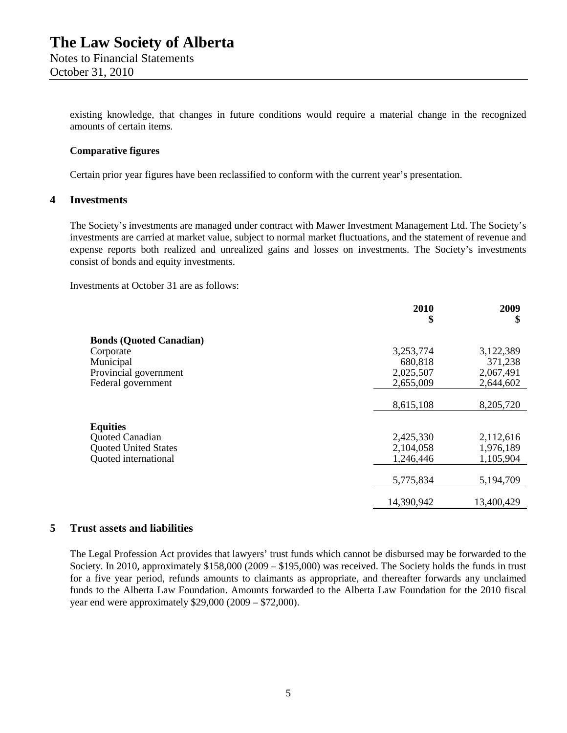existing knowledge, that changes in future conditions would require a material change in the recognized amounts of certain items.

#### **Comparative figures**

Certain prior year figures have been reclassified to conform with the current year's presentation.

#### **4 Investments**

The Society's investments are managed under contract with Mawer Investment Management Ltd. The Society's investments are carried at market value, subject to normal market fluctuations, and the statement of revenue and expense reports both realized and unrealized gains and losses on investments. The Society's investments consist of bonds and equity investments.

Investments at October 31 are as follows:

|                                | 2010<br>\$ | 2009<br>\$ |
|--------------------------------|------------|------------|
| <b>Bonds (Quoted Canadian)</b> |            |            |
| Corporate                      | 3,253,774  | 3,122,389  |
| Municipal                      | 680,818    | 371,238    |
| Provincial government          | 2,025,507  | 2,067,491  |
| Federal government             | 2,655,009  | 2,644,602  |
|                                |            |            |
|                                | 8,615,108  | 8,205,720  |
|                                |            |            |
| <b>Equities</b>                |            |            |
| Quoted Canadian                | 2,425,330  | 2,112,616  |
| <b>Quoted United States</b>    | 2,104,058  | 1,976,189  |
| Quoted international           | 1,246,446  | 1,105,904  |
|                                |            |            |
|                                | 5,775,834  | 5,194,709  |
|                                | 14,390,942 | 13,400,429 |

#### **5 Trust assets and liabilities**

The Legal Profession Act provides that lawyers' trust funds which cannot be disbursed may be forwarded to the Society. In 2010, approximately \$158,000 (2009 – \$195,000) was received. The Society holds the funds in trust for a five year period, refunds amounts to claimants as appropriate, and thereafter forwards any unclaimed funds to the Alberta Law Foundation. Amounts forwarded to the Alberta Law Foundation for the 2010 fiscal year end were approximately \$29,000 (2009 – \$72,000).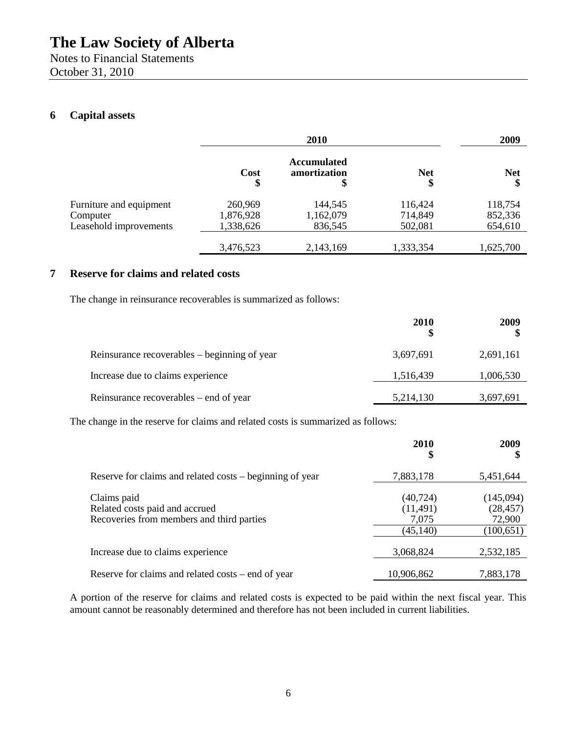Notes to Financial Statements October 31, 2010

## **6 Capital assets**

|                         | 2010       |                                          | 2009             |                  |
|-------------------------|------------|------------------------------------------|------------------|------------------|
|                         | Cost<br>\$ | <b>Accumulated</b><br>amortization<br>\$ | <b>Net</b><br>\$ | <b>Net</b><br>\$ |
| Furniture and equipment | 260,969    | 144,545                                  | 116,424          | 118,754          |
| Computer                | 1,876,928  | 1,162,079                                | 714,849          | 852,336          |
| Leasehold improvements  | 1,338,626  | 836,545                                  | 502,081          | 654,610          |
|                         | 3,476,523  | 2,143,169                                | 1,333,354        | 1,625,700        |

### **7 Reserve for claims and related costs**

The change in reinsurance recoverables is summarized as follows:

|                                              | <b>2010</b> | 2009      |
|----------------------------------------------|-------------|-----------|
| Reinsurance recoverables – beginning of year | 3,697,691   | 2,691,161 |
| Increase due to claims experience            | 1,516,439   | 1,006,530 |
| Reinsurance recoverables – end of year       | 5,214,130   | 3,697,691 |

The change in the reserve for claims and related costs is summarized as follows:

|                                                                                            | 2010<br>\$                                   | 2009<br>S                                      |
|--------------------------------------------------------------------------------------------|----------------------------------------------|------------------------------------------------|
| Reserve for claims and related costs – beginning of year                                   | 7,883,178                                    | 5,451,644                                      |
| Claims paid<br>Related costs paid and accrued<br>Recoveries from members and third parties | (40, 724)<br>(11, 491)<br>7,075<br>(45, 140) | (145,094)<br>(28, 457)<br>72,900<br>(100, 651) |
| Increase due to claims experience                                                          | 3,068,824                                    | 2,532,185                                      |
| Reserve for claims and related costs – end of year                                         | 10,906,862                                   | 7,883,178                                      |

A portion of the reserve for claims and related costs is expected to be paid within the next fiscal year. This amount cannot be reasonably determined and therefore has not been included in current liabilities.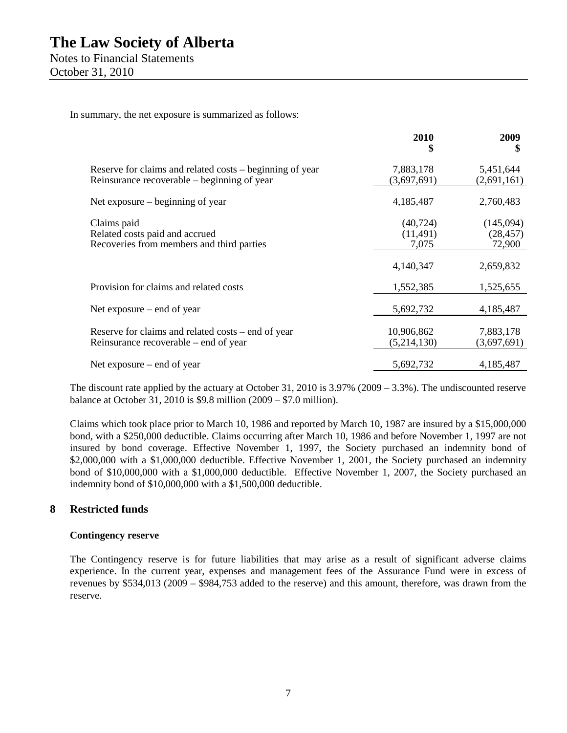In summary, the net exposure is summarized as follows:

|                                                                                                         | 2010<br>\$                      | 2009<br>\$                       |
|---------------------------------------------------------------------------------------------------------|---------------------------------|----------------------------------|
| Reserve for claims and related costs – beginning of year<br>Reinsurance recoverable – beginning of year | 7,883,178<br>(3,697,691)        | 5,451,644<br>(2,691,161)         |
| Net exposure – beginning of year                                                                        | 4,185,487                       | 2,760,483                        |
| Claims paid<br>Related costs paid and accrued<br>Recoveries from members and third parties              | (40, 724)<br>(11, 491)<br>7,075 | (145,094)<br>(28, 457)<br>72,900 |
|                                                                                                         | 4,140,347                       | 2,659,832                        |
| Provision for claims and related costs                                                                  | 1,552,385                       | 1,525,655                        |
| Net exposure – end of year                                                                              | 5,692,732                       | 4,185,487                        |
| Reserve for claims and related costs – end of year<br>Reinsurance recoverable – end of year             | 10,906,862<br>(5,214,130)       | 7,883,178<br>(3,697,691)         |
| Net exposure $-$ end of year                                                                            | 5,692,732                       | 4,185,487                        |

The discount rate applied by the actuary at October 31, 2010 is 3.97% (2009 – 3.3%). The undiscounted reserve balance at October 31, 2010 is \$9.8 million (2009 – \$7.0 million).

Claims which took place prior to March 10, 1986 and reported by March 10, 1987 are insured by a \$15,000,000 bond, with a \$250,000 deductible. Claims occurring after March 10, 1986 and before November 1, 1997 are not insured by bond coverage. Effective November 1, 1997, the Society purchased an indemnity bond of \$2,000,000 with a \$1,000,000 deductible. Effective November 1, 2001, the Society purchased an indemnity bond of \$10,000,000 with a \$1,000,000 deductible. Effective November 1, 2007, the Society purchased an indemnity bond of \$10,000,000 with a \$1,500,000 deductible.

### **8 Restricted funds**

#### **Contingency reserve**

The Contingency reserve is for future liabilities that may arise as a result of significant adverse claims experience. In the current year, expenses and management fees of the Assurance Fund were in excess of revenues by \$534,013 (2009 – \$984,753 added to the reserve) and this amount, therefore, was drawn from the reserve.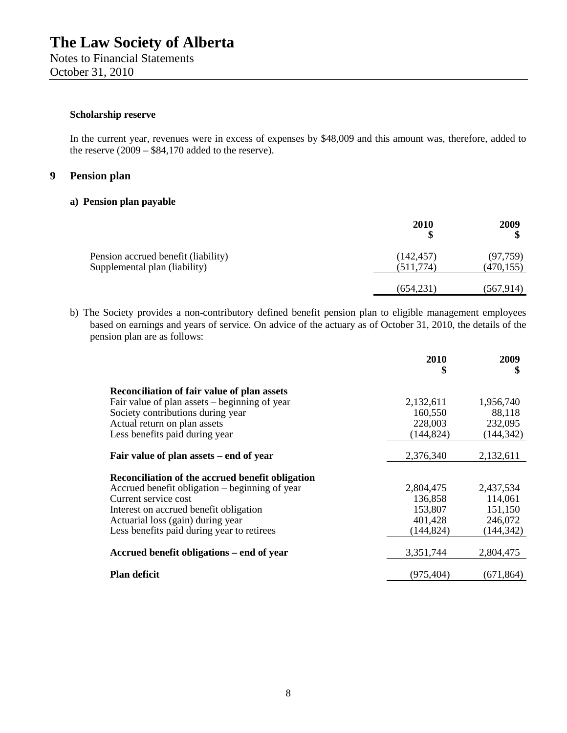#### **Scholarship reserve**

In the current year, revenues were in excess of expenses by \$48,009 and this amount was, therefore, added to the reserve  $(2009 - $84,170)$  added to the reserve).

#### **9 Pension plan**

#### **a) Pension plan payable**

|                                                                      | 2010<br>\$              | 2009                    |
|----------------------------------------------------------------------|-------------------------|-------------------------|
| Pension accrued benefit (liability)<br>Supplemental plan (liability) | (142, 457)<br>(511,774) | (97, 759)<br>(470, 155) |
|                                                                      | (654,231)               | (567, 914)              |

b) The Society provides a non-contributory defined benefit pension plan to eligible management employees based on earnings and years of service. On advice of the actuary as of October 31, 2010, the details of the pension plan are as follows:

|                                                    | 2010<br>\$ | 2009<br>\$ |
|----------------------------------------------------|------------|------------|
| <b>Reconciliation of fair value of plan assets</b> |            |            |
| Fair value of plan assets – beginning of year      | 2,132,611  | 1,956,740  |
| Society contributions during year                  | 160,550    | 88,118     |
| Actual return on plan assets                       | 228,003    | 232,095    |
| Less benefits paid during year                     | (144, 824) | (144, 342) |
|                                                    |            |            |
| Fair value of plan assets – end of year            | 2,376,340  | 2,132,611  |
| Reconciliation of the accrued benefit obligation   |            |            |
| Accrued benefit obligation – beginning of year     | 2,804,475  | 2,437,534  |
| Current service cost                               | 136,858    | 114,061    |
| Interest on accrued benefit obligation             | 153,807    | 151,150    |
| Actuarial loss (gain) during year                  | 401,428    | 246,072    |
| Less benefits paid during year to retirees         | (144, 824) | (144, 342) |
| Accrued benefit obligations – end of year          | 3,351,744  | 2,804,475  |
| <b>Plan deficit</b>                                | (975, 404) | (671, 864) |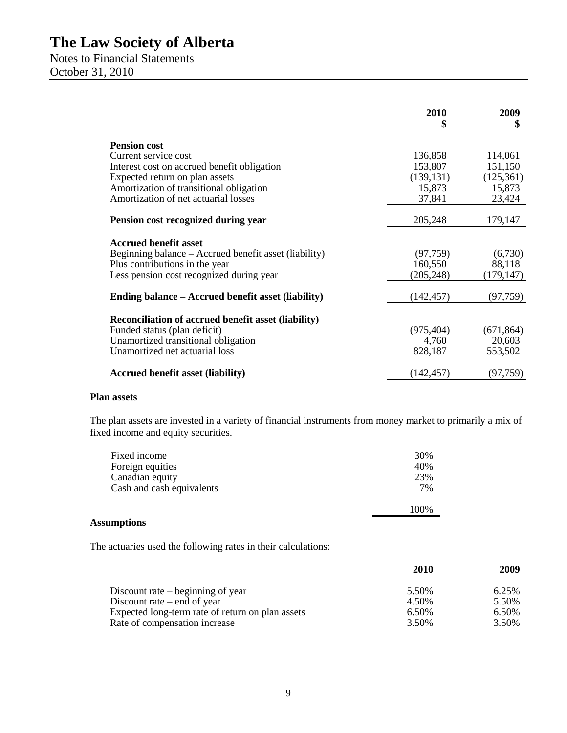Notes to Financial Statements October 31, 2010

|                                                            | 2010<br>S  | 2009<br>\$ |
|------------------------------------------------------------|------------|------------|
| <b>Pension cost</b>                                        |            |            |
| Current service cost                                       | 136,858    | 114,061    |
| Interest cost on accrued benefit obligation                | 153,807    | 151,150    |
| Expected return on plan assets                             | (139, 131) | (125,361)  |
| Amortization of transitional obligation                    | 15,873     | 15,873     |
| Amortization of net actuarial losses                       | 37,841     | 23,424     |
| Pension cost recognized during year                        | 205,248    | 179,147    |
| <b>Accrued benefit asset</b>                               |            |            |
| Beginning balance – Accrued benefit asset (liability)      | (97, 759)  | (6,730)    |
| Plus contributions in the year                             | 160,550    | 88,118     |
| Less pension cost recognized during year                   | (205, 248) | (179, 147) |
|                                                            |            |            |
| Ending balance – Accrued benefit asset (liability)         | (142, 457) | (97, 759)  |
| <b>Reconciliation of accrued benefit asset (liability)</b> |            |            |
| Funded status (plan deficit)                               | (975, 404) | (671, 864) |
| Unamortized transitional obligation                        | 4,760      | 20,603     |
| Unamortized net actuarial loss                             | 828,187    | 553,502    |
|                                                            |            |            |
| <b>Accrued benefit asset (liability)</b>                   | (142, 457) | (97, 759)  |

#### **Plan assets**

The plan assets are invested in a variety of financial instruments from money market to primarily a mix of fixed income and equity securities.

| Fixed income              | 30%  |
|---------------------------|------|
| Foreign equities          | 40%  |
| Canadian equity           | 23%  |
| Cash and cash equivalents | 7%   |
|                           | 100% |

#### **Assumptions**

The actuaries used the following rates in their calculations:

|                                                  | 2010  | 2009  |
|--------------------------------------------------|-------|-------|
| Discount rate $-$ beginning of year              | 5.50% | 6.25% |
| Discount rate $-$ end of year                    | 4.50% | 5.50% |
| Expected long-term rate of return on plan assets | 6.50% | 6.50% |
| Rate of compensation increase                    | 3.50% | 3.50% |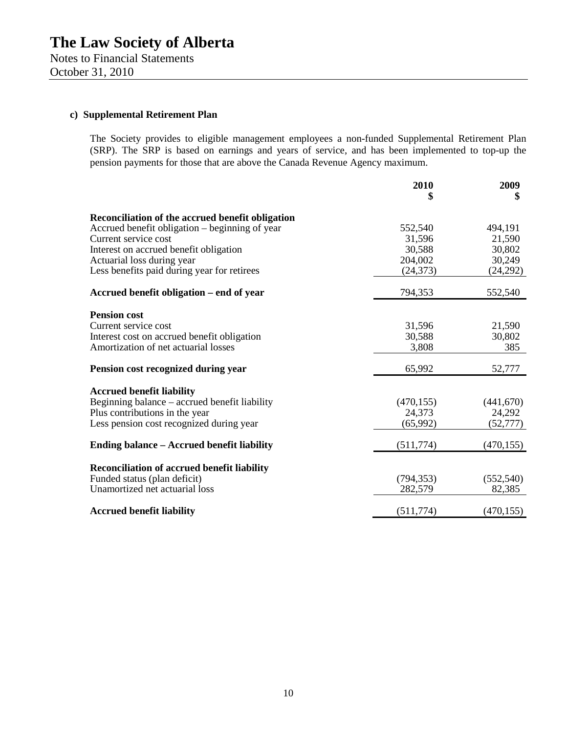### **c) Supplemental Retirement Plan**

The Society provides to eligible management employees a non-funded Supplemental Retirement Plan (SRP). The SRP is based on earnings and years of service, and has been implemented to top-up the pension payments for those that are above the Canada Revenue Agency maximum.

|                                                    | 2010<br>\$ | 2009<br>\$ |
|----------------------------------------------------|------------|------------|
|                                                    |            |            |
| Reconciliation of the accrued benefit obligation   |            |            |
| Accrued benefit obligation – beginning of year     | 552,540    | 494,191    |
| Current service cost                               | 31,596     | 21,590     |
| Interest on accrued benefit obligation             | 30,588     | 30,802     |
| Actuarial loss during year                         | 204,002    | 30,249     |
| Less benefits paid during year for retirees        | (24, 373)  | (24, 292)  |
| Accrued benefit obligation – end of year           | 794,353    | 552,540    |
| <b>Pension cost</b>                                |            |            |
| Current service cost                               | 31,596     | 21,590     |
| Interest cost on accrued benefit obligation        | 30,588     | 30,802     |
| Amortization of net actuarial losses               | 3,808      | 385        |
|                                                    |            |            |
| Pension cost recognized during year                | 65,992     | 52,777     |
| <b>Accrued benefit liability</b>                   |            |            |
| Beginning balance – accrued benefit liability      | (470, 155) | (441,670)  |
| Plus contributions in the year                     | 24,373     | 24,292     |
| Less pension cost recognized during year           | (65,992)   | (52, 777)  |
| Ending balance – Accrued benefit liability         | (511, 774) | (470, 155) |
|                                                    |            |            |
| <b>Reconciliation of accrued benefit liability</b> |            |            |
| Funded status (plan deficit)                       | (794, 353) | (552, 540) |
| Unamortized net actuarial loss                     | 282,579    | 82,385     |
|                                                    |            |            |
| <b>Accrued benefit liability</b>                   | (511, 774) | (470, 155) |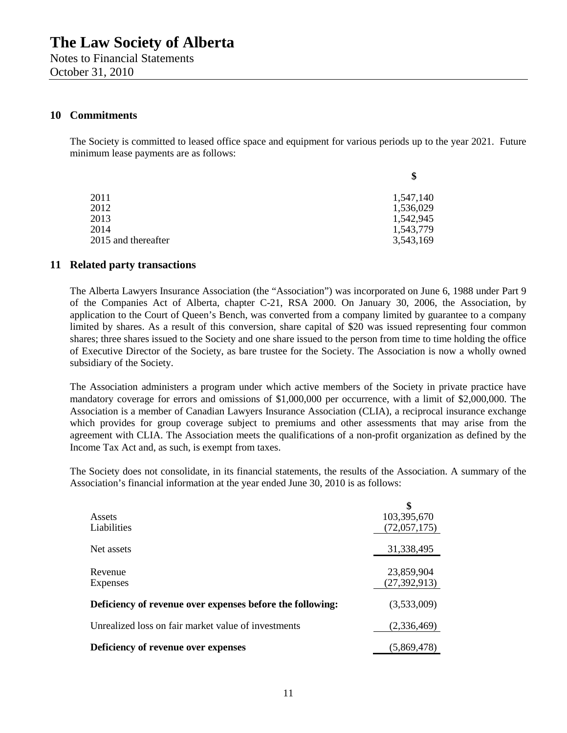Notes to Financial Statements October 31, 2010

#### **10 Commitments**

The Society is committed to leased office space and equipment for various periods up to the year 2021. Future minimum lease payments are as follows:

|                     | \$        |
|---------------------|-----------|
| 2011                | 1,547,140 |
| 2012                | 1,536,029 |
| 2013                | 1,542,945 |
| 2014                | 1,543,779 |
| 2015 and thereafter | 3,543,169 |
|                     |           |

#### **11 Related party transactions**

The Alberta Lawyers Insurance Association (the "Association") was incorporated on June 6, 1988 under Part 9 of the Companies Act of Alberta, chapter C-21, RSA 2000. On January 30, 2006, the Association, by application to the Court of Queen's Bench, was converted from a company limited by guarantee to a company limited by shares. As a result of this conversion, share capital of \$20 was issued representing four common shares; three shares issued to the Society and one share issued to the person from time to time holding the office of Executive Director of the Society, as bare trustee for the Society. The Association is now a wholly owned subsidiary of the Society.

The Association administers a program under which active members of the Society in private practice have mandatory coverage for errors and omissions of \$1,000,000 per occurrence, with a limit of \$2,000,000. The Association is a member of Canadian Lawyers Insurance Association (CLIA), a reciprocal insurance exchange which provides for group coverage subject to premiums and other assessments that may arise from the agreement with CLIA. The Association meets the qualifications of a non-profit organization as defined by the Income Tax Act and, as such, is exempt from taxes.

The Society does not consolidate, in its financial statements, the results of the Association. A summary of the Association's financial information at the year ended June 30, 2010 is as follows:

| Assets<br>Liabilities                                     | 103,395,670<br>(72,057,175)  |
|-----------------------------------------------------------|------------------------------|
| Net assets                                                | 31,338,495                   |
| Revenue<br>Expenses                                       | 23,859,904<br>(27, 392, 913) |
| Deficiency of revenue over expenses before the following: | (3,533,009)                  |
| Unrealized loss on fair market value of investments       | (2,336,469)                  |
| Deficiency of revenue over expenses                       | (5,869,478)                  |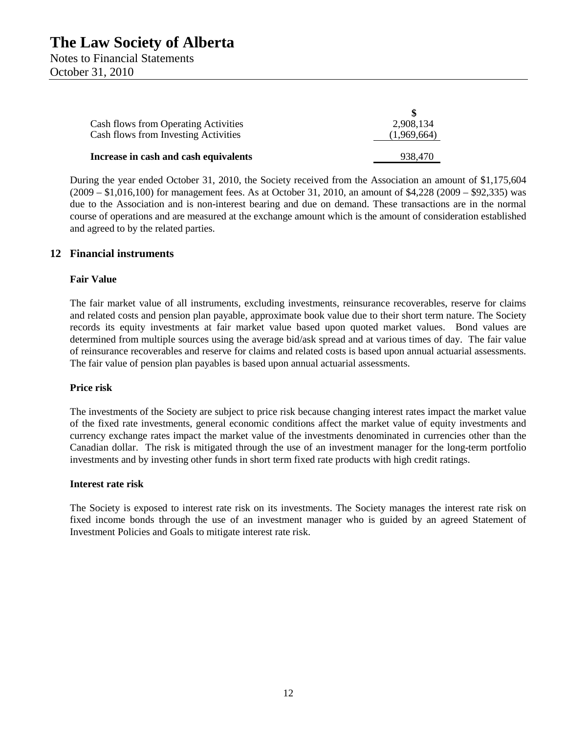Notes to Financial Statements October 31, 2010

| Cash flows from Operating Activities        | 2.908.134   |
|---------------------------------------------|-------------|
| <b>Cash flows from Investing Activities</b> | (1,969,664) |
| Increase in cash and cash equivalents       | 938,470     |

During the year ended October 31, 2010, the Society received from the Association an amount of \$1,175,604 (2009 – \$1,016,100) for management fees. As at October 31, 2010, an amount of \$4,228 (2009 – \$92,335) was due to the Association and is non-interest bearing and due on demand. These transactions are in the normal course of operations and are measured at the exchange amount which is the amount of consideration established and agreed to by the related parties.

#### **12 Financial instruments**

#### **Fair Value**

The fair market value of all instruments, excluding investments, reinsurance recoverables, reserve for claims and related costs and pension plan payable, approximate book value due to their short term nature. The Society records its equity investments at fair market value based upon quoted market values. Bond values are determined from multiple sources using the average bid/ask spread and at various times of day. The fair value of reinsurance recoverables and reserve for claims and related costs is based upon annual actuarial assessments. The fair value of pension plan payables is based upon annual actuarial assessments.

#### **Price risk**

The investments of the Society are subject to price risk because changing interest rates impact the market value of the fixed rate investments, general economic conditions affect the market value of equity investments and currency exchange rates impact the market value of the investments denominated in currencies other than the Canadian dollar. The risk is mitigated through the use of an investment manager for the long-term portfolio investments and by investing other funds in short term fixed rate products with high credit ratings.

#### **Interest rate risk**

The Society is exposed to interest rate risk on its investments. The Society manages the interest rate risk on fixed income bonds through the use of an investment manager who is guided by an agreed Statement of Investment Policies and Goals to mitigate interest rate risk.